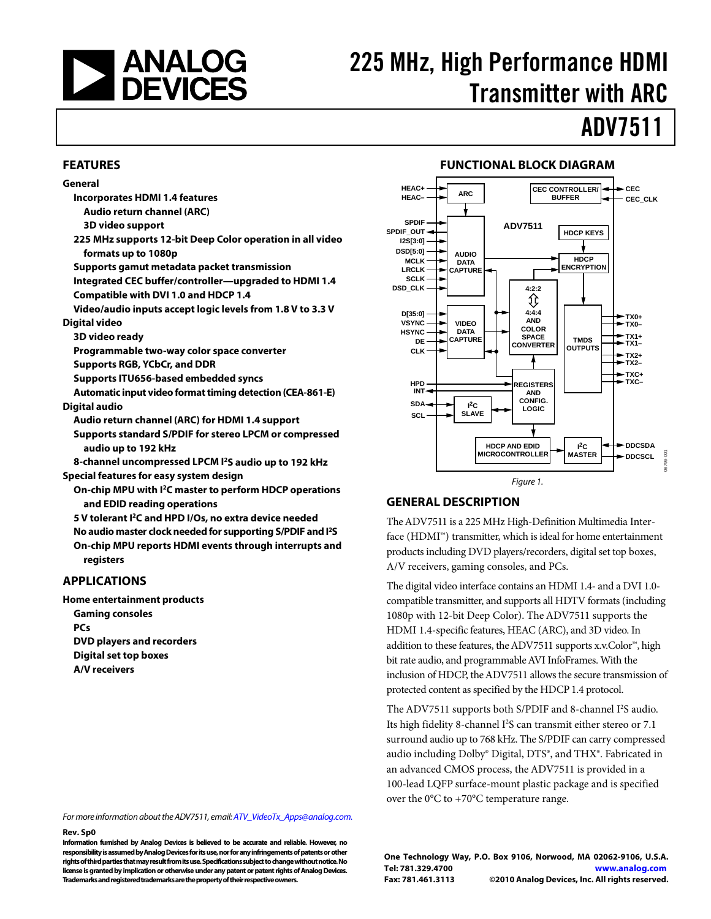

# 225 MHz, High Performance HDMI Transmitter with ARC

# ADV7511

## **FEATURES**

## **General**

- **Incorporates HDMI 1.4 features** 
	- **Audio return channel (ARC)**
- **3D video support**
- **225 MHz supports 12-bit Deep Color operation in all video formats up to 1080p**
- **Supports gamut metadata packet transmission**
- **Integrated CEC buffer/controller—upgraded to HDMI 1.4 Compatible with DVI 1.0 and HDCP 1.4**
- **Video/audio inputs accept logic levels from 1.8 V to 3.3 V Digital video** 
	- **3D video ready**
	- **Programmable two-way color space converter**
	- **Supports RGB, YCbCr, and DDR**
	- **Supports ITU656-based embedded syncs**
- **Automatic input video format timing detection (CEA-861-E) Digital audio** 
	- **Audio return channel (ARC) for HDMI 1.4 support**
	- **Supports standard S/PDIF for stereo LPCM or compressed audio up to 192 kHz**
- **8-channel uncompressed LPCM I2S audio up to 192 kHz Special features for easy system design**
- **On-chip MPU with I2C master to perform HDCP operations**
- **and EDID reading operations 5 V tolerant I2C and HPD I/Os, no extra device needed**
- 
- **No audio master clock needed for supporting S/PDIF and I2 S On-chip MPU reports HDMI events through interrupts and registers**

## **APPLICATIONS**

**Home entertainment products Gaming consoles PCs DVD players and recorders Digital set top boxes A/V receivers** 

### $HEAC+$  **ARC CEC\_CLK CEC CEC CONTROLLER/ BUFFER**

**FUNCTIONAL BLOCK DIAGRAM** 



## **GENERAL DESCRIPTION**

**HEAC–**

The ADV7511 is a 225 MHz High-Definition Multimedia Interface (HDMI™) transmitter, which is ideal for home entertainment products including DVD players/recorders, digital set top boxes, A/V receivers, gaming consoles, and PCs.

The digital video interface contains an HDMI 1.4- and a DVI 1.0 compatible transmitter, and supports all HDTV formats (including 1080p with 12-bit Deep Color). The ADV7511 supports the HDMI 1.4-specific features, HEAC (ARC), and 3D video. In addition to these features, the ADV7511 supports x.v.Color™, high bit rate audio, and programmable AVI InfoFrames. With the inclusion of HDCP, the ADV7511 allows the secure transmission of protected content as specified by the HDCP 1.4 protocol.

The ADV7511 supports both S/PDIF and 8-channel I<sup>2</sup>S audio. Its high fidelity 8-channel I<sup>2</sup>S can transmit either stereo or 7.1 surround audio up to 768 kHz. The S/PDIF can carry compressed audio including Dolby® Digital, DTS®, and THX®. Fabricated in an advanced CMOS process, the ADV7511 is provided in a 100-lead LQFP surface-mount plastic package and is specified over the 0°C to +70°C temperature range.

For more information about the ADV7511, email:[ATV\\_VideoTx\\_Apps@analog.com](mailto:ATV_VideoTx_Apps@analog.com).

### **Rev. Sp0**

**Information furnished by Analog Devices is believed to be accurate and reliable. However, no responsibility is assumed by Analog Devices for its use, nor for any infringements of patents or other rights of third parties that may result from its use. Specifications subject to change without notice. No license is granted by implication or otherwise under any patent or patent rights of Analog Devices. Trademarks and registered trademarks are the property of their respective owners.**